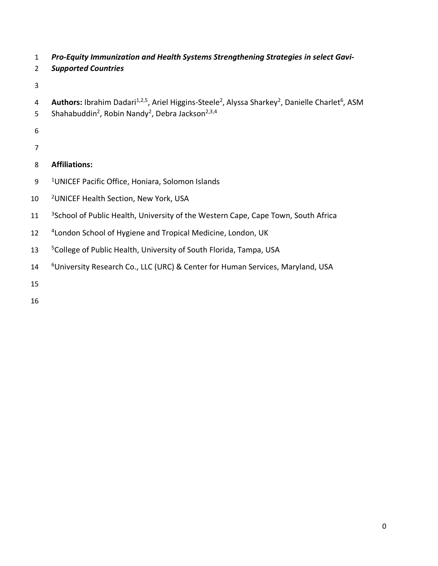- 1 *Pro-Equity Immunization and Health Systems Strengthening Strategies in select Gavi-*
- 2 *Supported Countries*
- 3
- 4 **Authors:** Ibrahim Dadari<sup>1,2,5</sup>, Ariel Higgins-Steele<sup>2</sup>, Alyssa Sharkey<sup>2</sup>, Danielle Charlet<sup>6</sup>, ASM
- 5 Shahabuddin<sup>2</sup>, Robin Nandy<sup>2</sup>, Debra Jackson<sup>2,3,4</sup>
- 6
- 7

# 8 **Affiliations:**

- 9 <sup>1</sup> UNICEF Pacific Office, Honiara, Solomon Islands
- 10 <sup>2</sup> UNICEF Health Section, New York, USA
- <sup>3</sup> 3 School of Public Health, University of the Western Cape, Cape Town, South Africa
- 12 <sup>4</sup> London School of Hygiene and Tropical Medicine, London, UK
- 13 <sup>5</sup> College of Public Health, University of South Florida, Tampa, USA
- 14 **6University Research Co., LLC (URC) & Center for Human Services, Maryland, USA**
- 15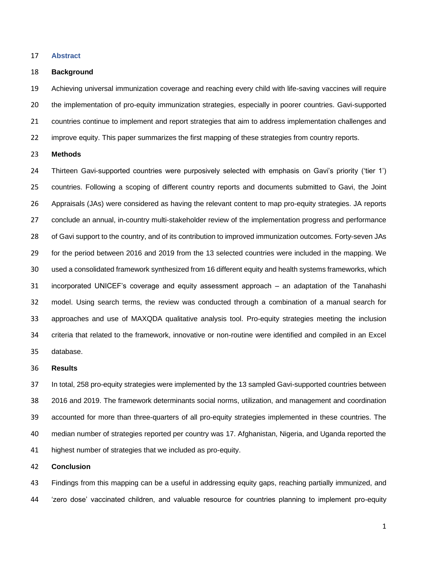#### **Abstract**

#### **Background**

 Achieving universal immunization coverage and reaching every child with life-saving vaccines will require the implementation of pro-equity immunization strategies, especially in poorer countries. Gavi-supported countries continue to implement and report strategies that aim to address implementation challenges and improve equity. This paper summarizes the first mapping of these strategies from country reports.

## **Methods**

 Thirteen Gavi-supported countries were purposively selected with emphasis on Gavi's priority ('tier 1') countries. Following a scoping of different country reports and documents submitted to Gavi, the Joint Appraisals (JAs) were considered as having the relevant content to map pro-equity strategies. JA reports conclude an annual, in-country multi-stakeholder review of the implementation progress and performance of Gavi support to the country, and of its contribution to improved immunization outcomes. Forty-seven JAs for the period between 2016 and 2019 from the 13 selected countries were included in the mapping. We used a consolidated framework synthesized from 16 different equity and health systems frameworks, which incorporated UNICEF's coverage and equity assessment approach – an adaptation of the Tanahashi model. Using search terms, the review was conducted through a combination of a manual search for approaches and use of MAXQDA qualitative analysis tool. Pro-equity strategies meeting the inclusion criteria that related to the framework, innovative or non-routine were identified and compiled in an Excel database.

#### **Results**

 In total, 258 pro-equity strategies were implemented by the 13 sampled Gavi-supported countries between 2016 and 2019. The framework determinants social norms, utilization, and management and coordination accounted for more than three-quarters of all pro-equity strategies implemented in these countries. The median number of strategies reported per country was 17. Afghanistan, Nigeria, and Uganda reported the highest number of strategies that we included as pro-equity.

#### **Conclusion**

 Findings from this mapping can be a useful in addressing equity gaps, reaching partially immunized, and 'zero dose' vaccinated children, and valuable resource for countries planning to implement pro-equity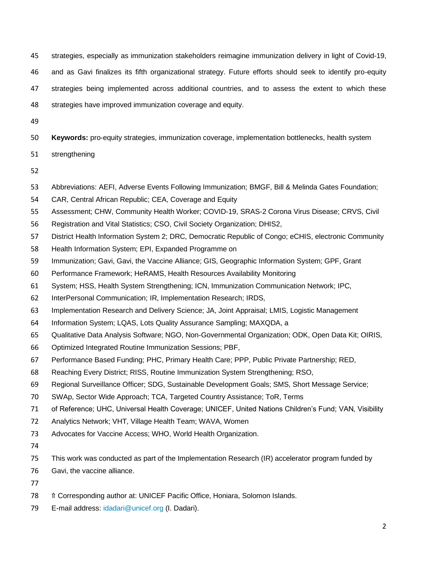strategies, especially as immunization stakeholders reimagine immunization delivery in light of Covid-19,

and as Gavi finalizes its fifth organizational strategy. Future efforts should seek to identify pro-equity

strategies being implemented across additional countries, and to assess the extent to which these

strategies have improved immunization coverage and equity.

**Keywords:** pro-equity strategies, immunization coverage, implementation bottlenecks, health system

- strengthening
- 
- Abbreviations: AEFI, Adverse Events Following Immunization; BMGF, Bill & Melinda Gates Foundation;
- CAR, Central African Republic; CEA, Coverage and Equity
- Assessment; CHW, Community Health Worker; COVID-19, SRAS-2 Corona Virus Disease; CRVS, Civil
- Registration and Vital Statistics; CSO, Civil Society Organization; DHIS2,
- District Health Information System 2; DRC, Democratic Republic of Congo; eCHIS, electronic Community
- Health Information System; EPI, Expanded Programme on
- Immunization; Gavi, Gavi, the Vaccine Alliance; GIS, Geographic Information System; GPF, Grant
- Performance Framework; HeRAMS, Health Resources Availability Monitoring
- System; HSS, Health System Strengthening; ICN, Immunization Communication Network; IPC,
- InterPersonal Communication; IR, Implementation Research; IRDS,
- Implementation Research and Delivery Science; JA, Joint Appraisal; LMIS, Logistic Management
- Information System; LQAS, Lots Quality Assurance Sampling; MAXQDA, a
- Qualitative Data Analysis Software; NGO, Non-Governmental Organization; ODK, Open Data Kit; OIRIS,
- Optimized Integrated Routine Immunization Sessions; PBF,
- Performance Based Funding; PHC, Primary Health Care; PPP, Public Private Partnership; RED,
- Reaching Every District; RISS, Routine Immunization System Strengthening; RSO,
- Regional Surveillance Officer; SDG, Sustainable Development Goals; SMS, Short Message Service;
- SWAp, Sector Wide Approach; TCA, Targeted Country Assistance; ToR, Terms
- of Reference; UHC, Universal Health Coverage; UNICEF, United Nations Children's Fund; VAN, Visibility
- Analytics Network; VHT, Village Health Team; WAVA, Women
- Advocates for Vaccine Access; WHO, World Health Organization.
- 
- This work was conducted as part of the Implementation Research (IR) accelerator program funded by
- Gavi, the vaccine alliance.
- 
- 78 f Corresponding author at: UNICEF Pacific Office, Honiara, Solomon Islands.
- E-mail address: idadari@unicef.org (I. Dadari).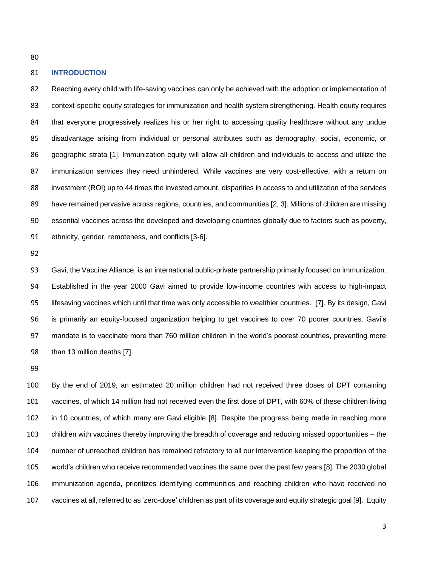## **INTRODUCTION**

 Reaching every child with life-saving vaccines can only be achieved with the adoption or implementation of context-specific equity strategies for immunization and health system strengthening. Health equity requires that everyone progressively realizes his or her right to accessing quality healthcare without any undue disadvantage arising from individual or personal attributes such as demography, social, economic, or geographic strata [1]. Immunization equity will allow all children and individuals to access and utilize the immunization services they need unhindered. While vaccines are very cost-effective, with a return on 88 investment (ROI) up to 44 times the invested amount, disparities in access to and utilization of the services have remained pervasive across regions, countries, and communities [2, 3]. Millions of children are missing essential vaccines across the developed and developing countries globally due to factors such as poverty, ethnicity, gender, remoteness, and conflicts [3-6].

 Gavi, the Vaccine Alliance, is an international public-private partnership primarily focused on immunization. Established in the year 2000 Gavi aimed to provide low-income countries with access to high-impact lifesaving vaccines which until that time was only accessible to wealthier countries. [7]. By its design, Gavi is primarily an equity-focused organization helping to get vaccines to over 70 poorer countries. Gavi's mandate is to vaccinate more than 760 million children in the world's poorest countries, preventing more than 13 million deaths [7].

 By the end of 2019, an estimated 20 million children had not received three doses of DPT containing vaccines, of which 14 million had not received even the first dose of DPT, with 60% of these children living in 10 countries, of which many are Gavi eligible [8]. Despite the progress being made in reaching more children with vaccines thereby improving the breadth of coverage and reducing missed opportunities – the number of unreached children has remained refractory to all our intervention keeping the proportion of the world's children who receive recommended vaccines the same over the past few years [8]. The 2030 global immunization agenda, prioritizes identifying communities and reaching children who have received no vaccines at all, referred to as 'zero-dose' children as part of its coverage and equity strategic goal [9]. Equity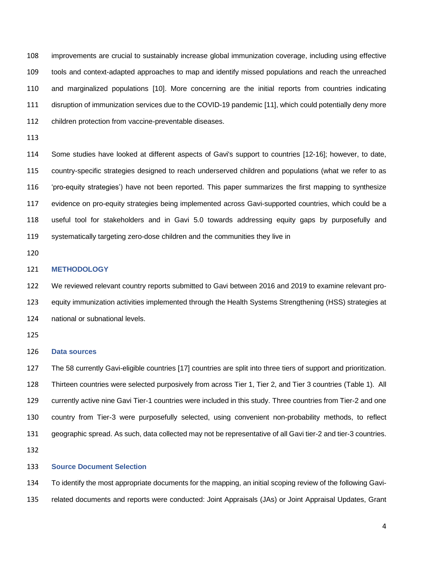improvements are crucial to sustainably increase global immunization coverage, including using effective tools and context-adapted approaches to map and identify missed populations and reach the unreached and marginalized populations [10]. More concerning are the initial reports from countries indicating disruption of immunization services due to the COVID-19 pandemic [11], which could potentially deny more children protection from vaccine-preventable diseases.

 Some studies have looked at different aspects of Gavi's support to countries [12-16]; however, to date, country-specific strategies designed to reach underserved children and populations (what we refer to as 'pro-equity strategies') have not been reported. This paper summarizes the first mapping to synthesize evidence on pro-equity strategies being implemented across Gavi-supported countries, which could be a useful tool for stakeholders and in Gavi 5.0 towards addressing equity gaps by purposefully and systematically targeting zero-dose children and the communities they live in

# **METHODOLOGY**

 We reviewed relevant country reports submitted to Gavi between 2016 and 2019 to examine relevant pro- equity immunization activities implemented through the Health Systems Strengthening (HSS) strategies at national or subnational levels.

## **Data sources**

 The 58 currently Gavi-eligible countries [17] countries are split into three tiers of support and prioritization. Thirteen countries were selected purposively from across Tier 1, Tier 2, and Tier 3 countries (Table 1). All currently active nine Gavi Tier-1 countries were included in this study. Three countries from Tier-2 and one country from Tier-3 were purposefully selected, using convenient non-probability methods, to reflect geographic spread. As such, data collected may not be representative of all Gavi tier-2 and tier-3 countries. 

#### **Source Document Selection**

 To identify the most appropriate documents for the mapping, an initial scoping review of the following Gavi-related documents and reports were conducted: Joint Appraisals (JAs) or Joint Appraisal Updates, Grant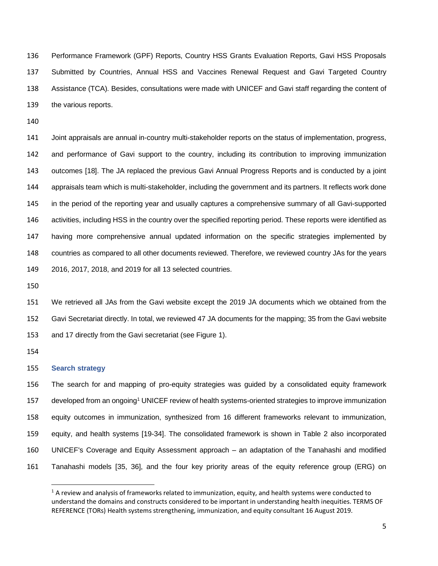Performance Framework (GPF) Reports, Country HSS Grants Evaluation Reports, Gavi HSS Proposals Submitted by Countries, Annual HSS and Vaccines Renewal Request and Gavi Targeted Country Assistance (TCA). Besides, consultations were made with UNICEF and Gavi staff regarding the content of the various reports.

 Joint appraisals are annual in-country multi-stakeholder reports on the status of implementation, progress, and performance of Gavi support to the country, including its contribution to improving immunization outcomes [18]. The JA replaced the previous Gavi Annual Progress Reports and is conducted by a joint appraisals team which is multi-stakeholder, including the government and its partners. It reflects work done in the period of the reporting year and usually captures a comprehensive summary of all Gavi-supported 146 activities, including HSS in the country over the specified reporting period. These reports were identified as having more comprehensive annual updated information on the specific strategies implemented by countries as compared to all other documents reviewed. Therefore, we reviewed country JAs for the years 2016, 2017, 2018, and 2019 for all 13 selected countries.

 We retrieved all JAs from the Gavi website except the 2019 JA documents which we obtained from the Gavi Secretariat directly. In total, we reviewed 47 JA documents for the mapping; 35 from the Gavi website and 17 directly from the Gavi secretariat (see Figure 1).

### **Search strategy**

 The search for and mapping of pro-equity strategies was guided by a consolidated equity framework 157 developed from an ongoing<sup>1</sup> UNICEF review of health systems-oriented strategies to improve immunization equity outcomes in immunization, synthesized from 16 different frameworks relevant to immunization, equity, and health systems [19-34]. The consolidated framework is shown in Table 2 also incorporated UNICEF's Coverage and Equity Assessment approach – an adaptation of the Tanahashi and modified Tanahashi models [35, 36], and the four key priority areas of the equity reference group (ERG) on

 A review and analysis of frameworks related to immunization, equity, and health systems were conducted to understand the domains and constructs considered to be important in understanding health inequities. TERMS OF REFERENCE (TORs) Health systems strengthening, immunization, and equity consultant 16 August 2019.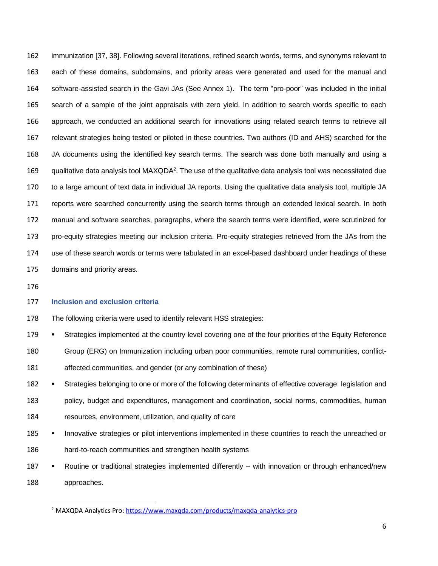immunization [37, 38]. Following several iterations, refined search words, terms, and synonyms relevant to each of these domains, subdomains, and priority areas were generated and used for the manual and software-assisted search in the Gavi JAs (See Annex 1). The term "pro-poor" was included in the initial search of a sample of the joint appraisals with zero yield. In addition to search words specific to each approach, we conducted an additional search for innovations using related search terms to retrieve all relevant strategies being tested or piloted in these countries. Two authors (ID and AHS) searched for the JA documents using the identified key search terms. The search was done both manually and using a 169 gualitative data analysis tool MAXQDA<sup>2</sup>. The use of the qualitative data analysis tool was necessitated due to a large amount of text data in individual JA reports. Using the qualitative data analysis tool, multiple JA reports were searched concurrently using the search terms through an extended lexical search. In both manual and software searches, paragraphs, where the search terms were identified, were scrutinized for pro-equity strategies meeting our inclusion criteria. Pro-equity strategies retrieved from the JAs from the use of these search words or terms were tabulated in an excel-based dashboard under headings of these domains and priority areas.

## **Inclusion and exclusion criteria**

The following criteria were used to identify relevant HSS strategies:

179 • Strategies implemented at the country level covering one of the four priorities of the Equity Reference

Group (ERG) on Immunization including urban poor communities, remote rural communities, conflict-

affected communities, and gender (or any combination of these)

182 · Strategies belonging to one or more of the following determinants of effective coverage: legislation and policy, budget and expenditures, management and coordination, social norms, commodities, human resources, environment, utilization, and quality of care

185 • Innovative strategies or pilot interventions implemented in these countries to reach the unreached or hard-to-reach communities and strengthen health systems

187 • Routine or traditional strategies implemented differently – with innovation or through enhanced/new approaches.

<sup>&</sup>lt;sup>2</sup> MAXQDA Analytics Pro[: https://www.maxqda.com/products/maxqda-analytics-pro](https://www.maxqda.com/products/maxqda-analytics-pro)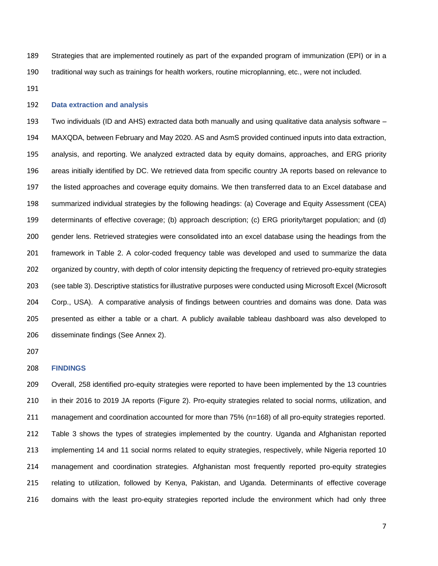Strategies that are implemented routinely as part of the expanded program of immunization (EPI) or in a traditional way such as trainings for health workers, routine microplanning, etc., were not included.

# **Data extraction and analysis**

 Two individuals (ID and AHS) extracted data both manually and using qualitative data analysis software – MAXQDA, between February and May 2020. AS and AsmS provided continued inputs into data extraction, analysis, and reporting. We analyzed extracted data by equity domains, approaches, and ERG priority areas initially identified by DC. We retrieved data from specific country JA reports based on relevance to the listed approaches and coverage equity domains. We then transferred data to an Excel database and summarized individual strategies by the following headings: (a) Coverage and Equity Assessment (CEA) determinants of effective coverage; (b) approach description; (c) ERG priority/target population; and (d) gender lens. Retrieved strategies were consolidated into an excel database using the headings from the framework in Table 2. A color-coded frequency table was developed and used to summarize the data organized by country, with depth of color intensity depicting the frequency of retrieved pro-equity strategies (see table 3). Descriptive statistics for illustrative purposes were conducted using Microsoft Excel (Microsoft Corp., USA). A comparative analysis of findings between countries and domains was done. Data was presented as either a table or a chart. A publicly available tableau dashboard was also developed to disseminate findings (See Annex 2).

# **FINDINGS**

 Overall, 258 identified pro-equity strategies were reported to have been implemented by the 13 countries in their 2016 to 2019 JA reports (Figure 2). Pro-equity strategies related to social norms, utilization, and management and coordination accounted for more than 75% (n=168) of all pro-equity strategies reported. Table 3 shows the types of strategies implemented by the country. Uganda and Afghanistan reported implementing 14 and 11 social norms related to equity strategies, respectively, while Nigeria reported 10 management and coordination strategies. Afghanistan most frequently reported pro-equity strategies relating to utilization, followed by Kenya, Pakistan, and Uganda. Determinants of effective coverage domains with the least pro-equity strategies reported include the environment which had only three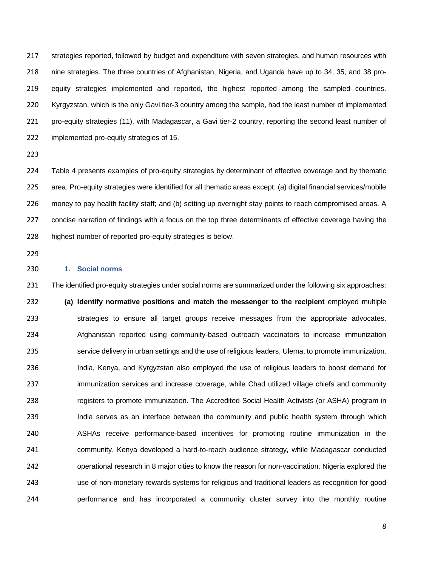strategies reported, followed by budget and expenditure with seven strategies, and human resources with nine strategies. The three countries of Afghanistan, Nigeria, and Uganda have up to 34, 35, and 38 pro- equity strategies implemented and reported, the highest reported among the sampled countries. Kyrgyzstan, which is the only Gavi tier-3 country among the sample, had the least number of implemented pro-equity strategies (11), with Madagascar, a Gavi tier-2 country, reporting the second least number of implemented pro-equity strategies of 15.

 Table 4 presents examples of pro-equity strategies by determinant of effective coverage and by thematic area. Pro-equity strategies were identified for all thematic areas except: (a) digital financial services/mobile money to pay health facility staff; and (b) setting up overnight stay points to reach compromised areas. A concise narration of findings with a focus on the top three determinants of effective coverage having the highest number of reported pro-equity strategies is below.

# **1. Social norms**

 The identified pro-equity strategies under social norms are summarized under the following six approaches: **(a) Identify normative positions and match the messenger to the recipient** employed multiple 233 strategies to ensure all target groups receive messages from the appropriate advocates. Afghanistan reported using community-based outreach vaccinators to increase immunization service delivery in urban settings and the use of religious leaders, Ulema, to promote immunization. India, Kenya, and Kyrgyzstan also employed the use of religious leaders to boost demand for immunization services and increase coverage, while Chad utilized village chiefs and community 238 registers to promote immunization. The Accredited Social Health Activists (or ASHA) program in 239 India serves as an interface between the community and public health system through which ASHAs receive performance-based incentives for promoting routine immunization in the community. Kenya developed a hard-to-reach audience strategy, while Madagascar conducted operational research in 8 major cities to know the reason for non-vaccination. Nigeria explored the use of non-monetary rewards systems for religious and traditional leaders as recognition for good performance and has incorporated a community cluster survey into the monthly routine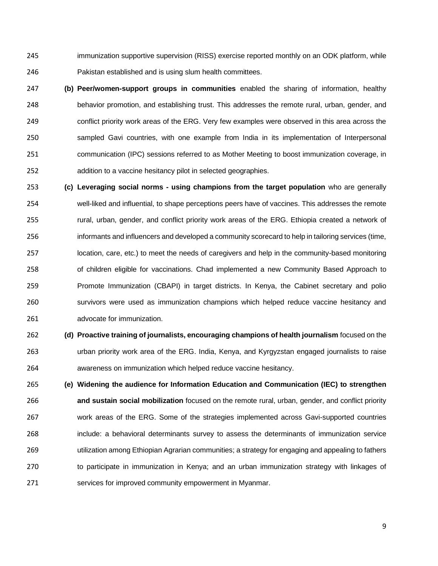immunization supportive supervision (RISS) exercise reported monthly on an ODK platform, while Pakistan established and is using slum health committees.

- **(b) Peer/women-support groups in communities** enabled the sharing of information, healthy behavior promotion, and establishing trust. This addresses the remote rural, urban, gender, and conflict priority work areas of the ERG. Very few examples were observed in this area across the sampled Gavi countries, with one example from India in its implementation of Interpersonal communication (IPC) sessions referred to as Mother Meeting to boost immunization coverage, in addition to a vaccine hesitancy pilot in selected geographies.
- **(c) Leveraging social norms - using champions from the target population** who are generally well-liked and influential, to shape perceptions peers have of vaccines. This addresses the remote rural, urban, gender, and conflict priority work areas of the ERG. Ethiopia created a network of informants and influencers and developed a community scorecard to help in tailoring services (time, location, care, etc.) to meet the needs of caregivers and help in the community-based monitoring of children eligible for vaccinations. Chad implemented a new Community Based Approach to Promote Immunization (CBAPI) in target districts. In Kenya, the Cabinet secretary and polio survivors were used as immunization champions which helped reduce vaccine hesitancy and advocate for immunization.
- **(d) Proactive training of journalists, encouraging champions of health journalism** focused on the urban priority work area of the ERG. India, Kenya, and Kyrgyzstan engaged journalists to raise awareness on immunization which helped reduce vaccine hesitancy.
- **(e) Widening the audience for Information Education and Communication (IEC) to strengthen and sustain social mobilization** focused on the remote rural, urban, gender, and conflict priority work areas of the ERG. Some of the strategies implemented across Gavi-supported countries include: a behavioral determinants survey to assess the determinants of immunization service utilization among Ethiopian Agrarian communities; a strategy for engaging and appealing to fathers 270 to participate in immunization in Kenya; and an urban immunization strategy with linkages of services for improved community empowerment in Myanmar.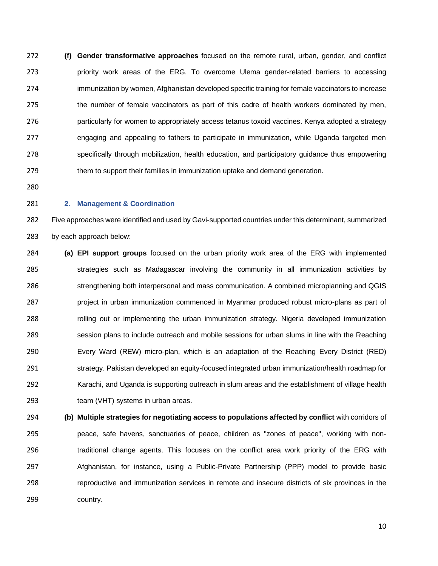**(f) Gender transformative approaches** focused on the remote rural, urban, gender, and conflict priority work areas of the ERG. To overcome Ulema gender-related barriers to accessing immunization by women, Afghanistan developed specific training for female vaccinators to increase 275 the number of female vaccinators as part of this cadre of health workers dominated by men, particularly for women to appropriately access tetanus toxoid vaccines. Kenya adopted a strategy engaging and appealing to fathers to participate in immunization, while Uganda targeted men specifically through mobilization, health education, and participatory guidance thus empowering them to support their families in immunization uptake and demand generation.

#### **2. Management & Coordination**

 Five approaches were identified and used by Gavi-supported countries under this determinant, summarized by each approach below:

 **(a) EPI support groups** focused on the urban priority work area of the ERG with implemented 285 strategies such as Madagascar involving the community in all immunization activities by strengthening both interpersonal and mass communication. A combined microplanning and QGIS project in urban immunization commenced in Myanmar produced robust micro-plans as part of 288 rolling out or implementing the urban immunization strategy. Nigeria developed immunization session plans to include outreach and mobile sessions for urban slums in line with the Reaching Every Ward (REW) micro-plan, which is an adaptation of the Reaching Every District (RED) strategy. Pakistan developed an equity-focused integrated urban immunization/health roadmap for Karachi, and Uganda is supporting outreach in slum areas and the establishment of village health team (VHT) systems in urban areas.

 **(b) Multiple strategies for negotiating access to populations affected by conflict** with corridors of peace, safe havens, sanctuaries of peace, children as "zones of peace", working with non-**traditional change agents. This focuses on the conflict area work priority of the ERG with**  Afghanistan, for instance, using a Public-Private Partnership (PPP) model to provide basic reproductive and immunization services in remote and insecure districts of six provinces in the country.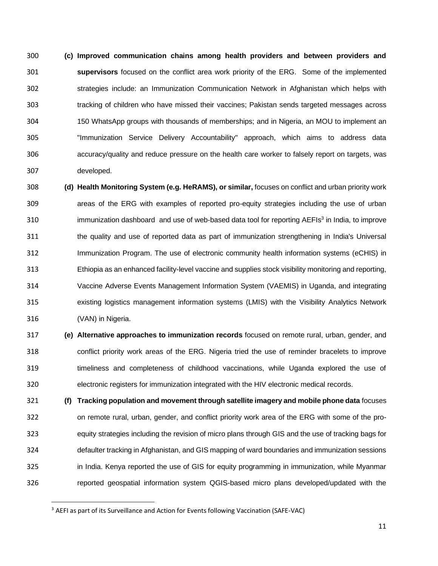**(c) Improved communication chains among health providers and between providers and supervisors** focused on the conflict area work priority of the ERG. Some of the implemented strategies include: an Immunization Communication Network in Afghanistan which helps with tracking of children who have missed their vaccines; Pakistan sends targeted messages across 150 WhatsApp groups with thousands of memberships; and in Nigeria, an MOU to implement an "Immunization Service Delivery Accountability" approach, which aims to address data accuracy/quality and reduce pressure on the health care worker to falsely report on targets, was developed.

 **(d) Health Monitoring System (e.g. HeRAMS), or similar,** focuses on conflict and urban priority work areas of the ERG with examples of reported pro-equity strategies including the use of urban 310 immunization dashboard and use of web-based data tool for reporting AEFIs<sup>3</sup> in India, to improve the quality and use of reported data as part of immunization strengthening in India's Universal Immunization Program. The use of electronic community health information systems (eCHIS) in Ethiopia as an enhanced facility-level vaccine and supplies stock visibility monitoring and reporting, Vaccine Adverse Events Management Information System (VAEMIS) in Uganda, and integrating existing logistics management information systems (LMIS) with the Visibility Analytics Network (VAN) in Nigeria.

 **(e) Alternative approaches to immunization records** focused on remote rural, urban, gender, and conflict priority work areas of the ERG. Nigeria tried the use of reminder bracelets to improve timeliness and completeness of childhood vaccinations, while Uganda explored the use of electronic registers for immunization integrated with the HIV electronic medical records.

 **(f) Tracking population and movement through satellite imagery and mobile phone data** focuses on remote rural, urban, gender, and conflict priority work area of the ERG with some of the pro- equity strategies including the revision of micro plans through GIS and the use of tracking bags for defaulter tracking in Afghanistan, and GIS mapping of ward boundaries and immunization sessions in India. Kenya reported the use of GIS for equity programming in immunization, while Myanmar reported geospatial information system QGIS-based micro plans developed/updated with the

<sup>&</sup>lt;sup>3</sup> AEFI as part of its Surveillance and Action for Events following Vaccination (SAFE-VAC)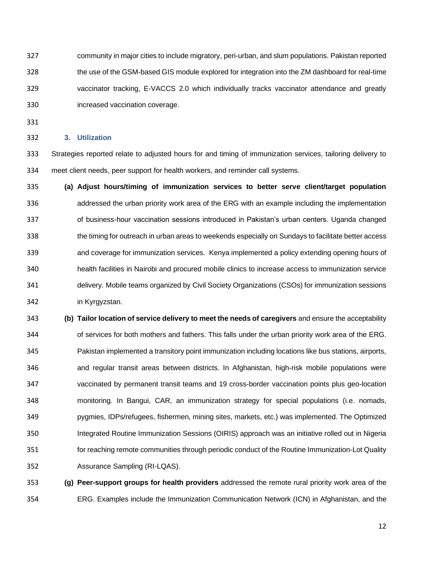community in major cities to include migratory, peri-urban, and slum populations. Pakistan reported the use of the GSM-based GIS module explored for integration into the ZM dashboard for real-time vaccinator tracking, E-VACCS 2.0 which individually tracks vaccinator attendance and greatly increased vaccination coverage.

# **3. Utilization**

 Strategies reported relate to adjusted hours for and timing of immunization services, tailoring delivery to meet client needs, peer support for health workers, and reminder call systems.

 **(a) Adjust hours/timing of immunization services to better serve client/target population** addressed the urban priority work area of the ERG with an example including the implementation of business-hour vaccination sessions introduced in Pakistan's urban centers. Uganda changed the timing for outreach in urban areas to weekends especially on Sundays to facilitate better access and coverage for immunization services. Kenya implemented a policy extending opening hours of health facilities in Nairobi and procured mobile clinics to increase access to immunization service delivery. Mobile teams organized by Civil Society Organizations (CSOs) for immunization sessions in Kyrgyzstan.

 **(b) Tailor location of service delivery to meet the needs of caregivers** and ensure the acceptability of services for both mothers and fathers. This falls under the urban priority work area of the ERG. Pakistan implemented a transitory point immunization including locations like bus stations, airports, and regular transit areas between districts. In Afghanistan, high-risk mobile populations were vaccinated by permanent transit teams and 19 cross-border vaccination points plus geo-location monitoring. In Bangui, CAR, an immunization strategy for special populations (i.e. nomads, pygmies, IDPs/refugees, fishermen, mining sites, markets, etc.) was implemented. The Optimized Integrated Routine Immunization Sessions (OIRIS) approach was an initiative rolled out in Nigeria for reaching remote communities through periodic conduct of the Routine Immunization-Lot Quality Assurance Sampling (RI-LQAS).

 **(g) Peer-support groups for health providers** addressed the remote rural priority work area of the ERG. Examples include the Immunization Communication Network (ICN) in Afghanistan, and the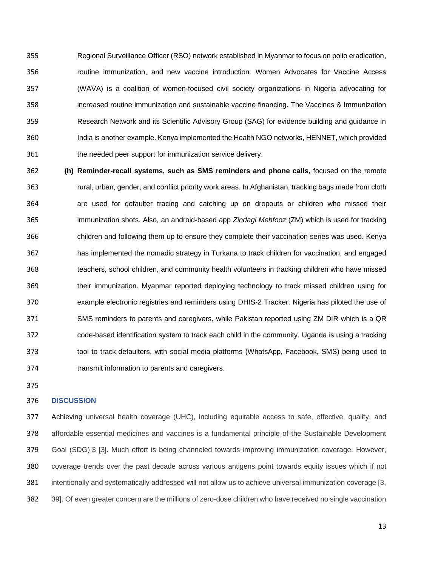Regional Surveillance Officer (RSO) network established in Myanmar to focus on polio eradication, routine immunization, and new vaccine introduction. Women Advocates for Vaccine Access (WAVA) is a coalition of women-focused civil society organizations in Nigeria advocating for increased routine immunization and sustainable vaccine financing. The Vaccines & Immunization Research Network and its Scientific Advisory Group (SAG) for evidence building and guidance in India is another example. Kenya implemented the Health NGO networks, HENNET, which provided the needed peer support for immunization service delivery.

 **(h) Reminder-recall systems, such as SMS reminders and phone calls,** focused on the remote rural, urban, gender, and conflict priority work areas. In Afghanistan, tracking bags made from cloth are used for defaulter tracing and catching up on dropouts or children who missed their immunization shots. Also, an android-based app *Zindagi Mehfooz* (ZM) which is used for tracking children and following them up to ensure they complete their vaccination series was used. Kenya has implemented the nomadic strategy in Turkana to track children for vaccination, and engaged teachers, school children, and community health volunteers in tracking children who have missed their immunization. Myanmar reported deploying technology to track missed children using for example electronic registries and reminders using DHIS-2 Tracker. Nigeria has piloted the use of SMS reminders to parents and caregivers, while Pakistan reported using ZM DIR which is a QR code-based identification system to track each child in the community. Uganda is using a tracking tool to track defaulters, with social media platforms (WhatsApp, Facebook, SMS) being used to transmit information to parents and caregivers.

# **DISCUSSION**

 Achieving universal health coverage (UHC), including equitable access to safe, effective, quality, and affordable essential medicines and vaccines is a fundamental principle of the Sustainable Development Goal (SDG) 3 [3]. Much effort is being channeled towards improving immunization coverage. However, coverage trends over the past decade across various antigens point towards equity issues which if not intentionally and systematically addressed will not allow us to achieve universal immunization coverage [3, 39]. Of even greater concern are the millions of zero-dose children who have received no single vaccination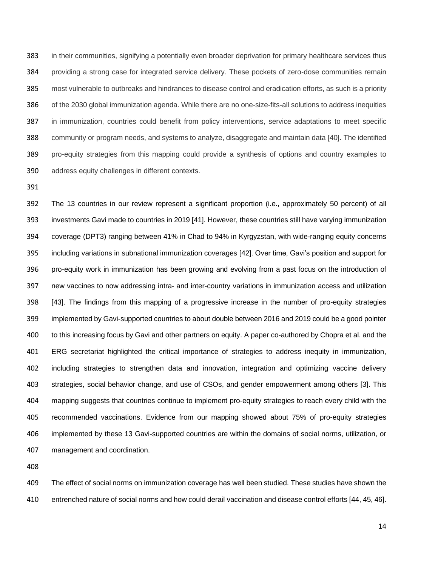in their communities, signifying a potentially even broader deprivation for primary healthcare services thus providing a strong case for integrated service delivery. These pockets of zero-dose communities remain most vulnerable to outbreaks and hindrances to disease control and eradication efforts, as such is a priority of the 2030 global immunization agenda. While there are no one-size-fits-all solutions to address inequities in immunization, countries could benefit from policy interventions, service adaptations to meet specific community or program needs, and systems to analyze, disaggregate and maintain data [40]. The identified pro-equity strategies from this mapping could provide a synthesis of options and country examples to address equity challenges in different contexts.

 The 13 countries in our review represent a significant proportion (i.e., approximately 50 percent) of all investments Gavi made to countries in 2019 [41]. However, these countries still have varying immunization coverage (DPT3) ranging between 41% in Chad to 94% in Kyrgyzstan, with wide-ranging equity concerns including variations in subnational immunization coverages [42]. Over time, Gavi's position and support for pro-equity work in immunization has been growing and evolving from a past focus on the introduction of new vaccines to now addressing intra- and inter-country variations in immunization access and utilization [43]. The findings from this mapping of a progressive increase in the number of pro-equity strategies implemented by Gavi-supported countries to about double between 2016 and 2019 could be a good pointer to this increasing focus by Gavi and other partners on equity. A paper co-authored by Chopra et al. and the ERG secretariat highlighted the critical importance of strategies to address inequity in immunization, including strategies to strengthen data and innovation, integration and optimizing vaccine delivery strategies, social behavior change, and use of CSOs, and gender empowerment among others [3]. This mapping suggests that countries continue to implement pro-equity strategies to reach every child with the recommended vaccinations. Evidence from our mapping showed about 75% of pro-equity strategies implemented by these 13 Gavi-supported countries are within the domains of social norms, utilization, or management and coordination.

 The effect of social norms on immunization coverage has well been studied. These studies have shown the entrenched nature of social norms and how could derail vaccination and disease control efforts [44, 45, 46].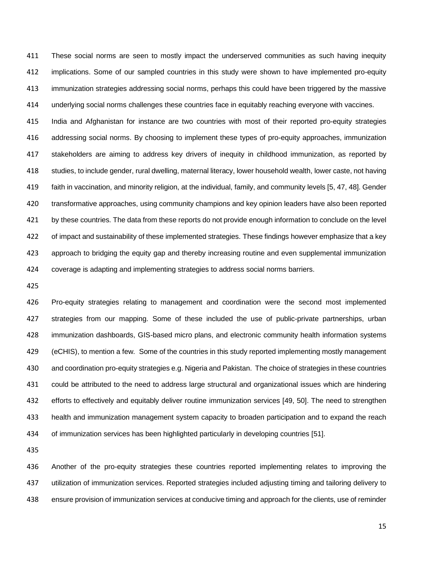These social norms are seen to mostly impact the underserved communities as such having inequity implications. Some of our sampled countries in this study were shown to have implemented pro-equity immunization strategies addressing social norms, perhaps this could have been triggered by the massive underlying social norms challenges these countries face in equitably reaching everyone with vaccines.

 India and Afghanistan for instance are two countries with most of their reported pro-equity strategies addressing social norms. By choosing to implement these types of pro-equity approaches, immunization stakeholders are aiming to address key drivers of inequity in childhood immunization, as reported by studies, to include gender, rural dwelling, maternal literacy, lower household wealth, lower caste, not having faith in vaccination, and minority religion, at the individual, family, and community levels [5, 47, 48]. Gender transformative approaches, using community champions and key opinion leaders have also been reported by these countries. The data from these reports do not provide enough information to conclude on the level of impact and sustainability of these implemented strategies. These findings however emphasize that a key approach to bridging the equity gap and thereby increasing routine and even supplemental immunization coverage is adapting and implementing strategies to address social norms barriers.

 Pro-equity strategies relating to management and coordination were the second most implemented strategies from our mapping. Some of these included the use of public-private partnerships, urban immunization dashboards, GIS-based micro plans, and electronic community health information systems (eCHIS), to mention a few. Some of the countries in this study reported implementing mostly management and coordination pro-equity strategies e.g. Nigeria and Pakistan. The choice of strategies in these countries could be attributed to the need to address large structural and organizational issues which are hindering efforts to effectively and equitably deliver routine immunization services [49, 50]. The need to strengthen health and immunization management system capacity to broaden participation and to expand the reach of immunization services has been highlighted particularly in developing countries [51].

 Another of the pro-equity strategies these countries reported implementing relates to improving the utilization of immunization services. Reported strategies included adjusting timing and tailoring delivery to ensure provision of immunization services at conducive timing and approach for the clients, use of reminder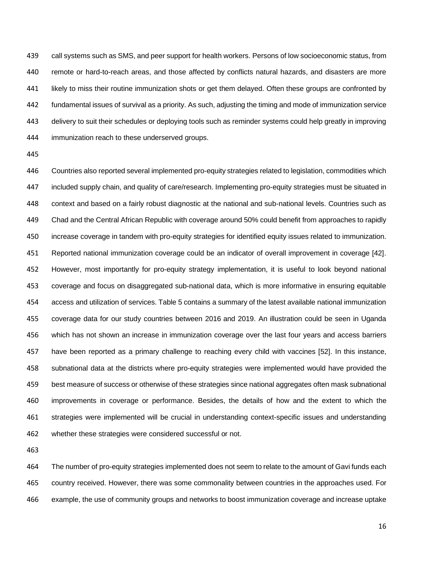call systems such as SMS, and peer support for health workers. Persons of low socioeconomic status, from remote or hard-to-reach areas, and those affected by conflicts natural hazards, and disasters are more likely to miss their routine immunization shots or get them delayed. Often these groups are confronted by fundamental issues of survival as a priority. As such, adjusting the timing and mode of immunization service delivery to suit their schedules or deploying tools such as reminder systems could help greatly in improving immunization reach to these underserved groups.

 Countries also reported several implemented pro-equity strategies related to legislation, commodities which included supply chain, and quality of care/research. Implementing pro-equity strategies must be situated in context and based on a fairly robust diagnostic at the national and sub-national levels. Countries such as Chad and the Central African Republic with coverage around 50% could benefit from approaches to rapidly increase coverage in tandem with pro-equity strategies for identified equity issues related to immunization. Reported national immunization coverage could be an indicator of overall improvement in coverage [42]. However, most importantly for pro-equity strategy implementation, it is useful to look beyond national coverage and focus on disaggregated sub-national data, which is more informative in ensuring equitable access and utilization of services. Table 5 contains a summary of the latest available national immunization coverage data for our study countries between 2016 and 2019. An illustration could be seen in Uganda which has not shown an increase in immunization coverage over the last four years and access barriers have been reported as a primary challenge to reaching every child with vaccines [52]. In this instance, subnational data at the districts where pro-equity strategies were implemented would have provided the best measure of success or otherwise of these strategies since national aggregates often mask subnational improvements in coverage or performance. Besides, the details of how and the extent to which the strategies were implemented will be crucial in understanding context-specific issues and understanding whether these strategies were considered successful or not.

 The number of pro-equity strategies implemented does not seem to relate to the amount of Gavi funds each country received. However, there was some commonality between countries in the approaches used. For example, the use of community groups and networks to boost immunization coverage and increase uptake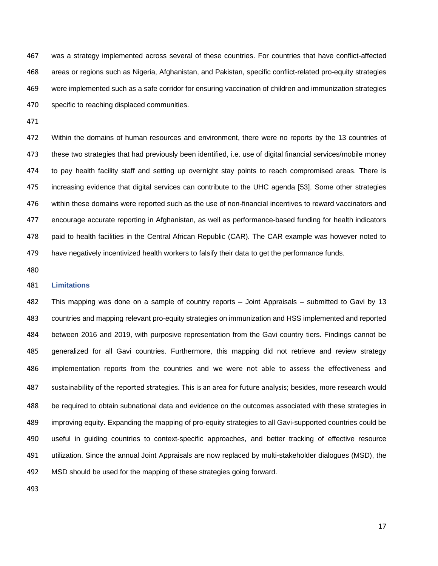was a strategy implemented across several of these countries. For countries that have conflict-affected areas or regions such as Nigeria, Afghanistan, and Pakistan, specific conflict-related pro-equity strategies were implemented such as a safe corridor for ensuring vaccination of children and immunization strategies specific to reaching displaced communities.

 Within the domains of human resources and environment, there were no reports by the 13 countries of these two strategies that had previously been identified, i.e. use of digital financial services/mobile money 474 to pay health facility staff and setting up overnight stay points to reach compromised areas. There is increasing evidence that digital services can contribute to the UHC agenda [53]. Some other strategies within these domains were reported such as the use of non-financial incentives to reward vaccinators and encourage accurate reporting in Afghanistan, as well as performance-based funding for health indicators paid to health facilities in the Central African Republic (CAR). The CAR example was however noted to have negatively incentivized health workers to falsify their data to get the performance funds.

# **Limitations**

 This mapping was done on a sample of country reports – Joint Appraisals – submitted to Gavi by 13 countries and mapping relevant pro-equity strategies on immunization and HSS implemented and reported between 2016 and 2019, with purposive representation from the Gavi country tiers. Findings cannot be generalized for all Gavi countries. Furthermore, this mapping did not retrieve and review strategy implementation reports from the countries and we were not able to assess the effectiveness and sustainability of the reported strategies. This is an area for future analysis; besides, more research would be required to obtain subnational data and evidence on the outcomes associated with these strategies in improving equity. Expanding the mapping of pro-equity strategies to all Gavi-supported countries could be useful in guiding countries to context-specific approaches, and better tracking of effective resource utilization. Since the annual Joint Appraisals are now replaced by multi-stakeholder dialogues (MSD), the MSD should be used for the mapping of these strategies going forward.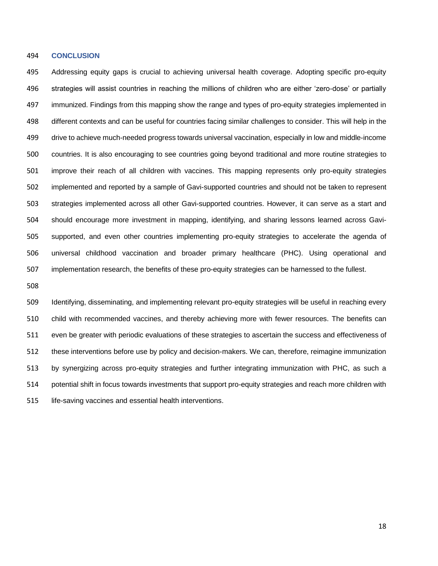#### **CONCLUSION**

 Addressing equity gaps is crucial to achieving universal health coverage. Adopting specific pro-equity strategies will assist countries in reaching the millions of children who are either 'zero-dose' or partially immunized. Findings from this mapping show the range and types of pro-equity strategies implemented in different contexts and can be useful for countries facing similar challenges to consider. This will help in the drive to achieve much-needed progress towards universal vaccination, especially in low and middle-income countries. It is also encouraging to see countries going beyond traditional and more routine strategies to improve their reach of all children with vaccines. This mapping represents only pro-equity strategies implemented and reported by a sample of Gavi-supported countries and should not be taken to represent strategies implemented across all other Gavi-supported countries. However, it can serve as a start and should encourage more investment in mapping, identifying, and sharing lessons learned across Gavi- supported, and even other countries implementing pro-equity strategies to accelerate the agenda of universal childhood vaccination and broader primary healthcare (PHC). Using operational and implementation research, the benefits of these pro-equity strategies can be harnessed to the fullest.

 Identifying, disseminating, and implementing relevant pro-equity strategies will be useful in reaching every child with recommended vaccines, and thereby achieving more with fewer resources. The benefits can even be greater with periodic evaluations of these strategies to ascertain the success and effectiveness of these interventions before use by policy and decision-makers. We can, therefore, reimagine immunization by synergizing across pro-equity strategies and further integrating immunization with PHC, as such a potential shift in focus towards investments that support pro-equity strategies and reach more children with life-saving vaccines and essential health interventions.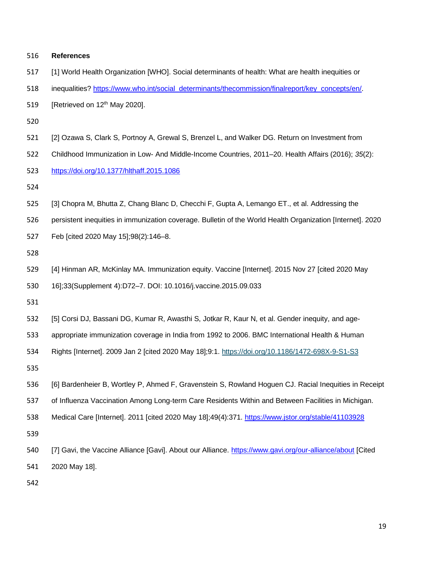| 516 | <b>References</b>                                                                                          |
|-----|------------------------------------------------------------------------------------------------------------|
| 517 | [1] World Health Organization [WHO]. Social determinants of health: What are health inequities or          |
| 518 | inequalities? https://www.who.int/social_determinants/thecommission/finalreport/key_concepts/en/.          |
| 519 | [Retrieved on 12 <sup>th</sup> May 2020].                                                                  |
| 520 |                                                                                                            |
| 521 | [2] Ozawa S, Clark S, Portnoy A, Grewal S, Brenzel L, and Walker DG. Return on Investment from             |
| 522 | Childhood Immunization in Low- And Middle-Income Countries, 2011-20. Health Affairs (2016); 35(2):         |
| 523 | https://doi.org/10.1377/hlthaff.2015.1086                                                                  |
| 524 |                                                                                                            |
| 525 | [3] Chopra M, Bhutta Z, Chang Blanc D, Checchi F, Gupta A, Lemango ET., et al. Addressing the              |
| 526 | persistent inequities in immunization coverage. Bulletin of the World Health Organization [Internet]. 2020 |
| 527 | Feb [cited 2020 May 15];98(2):146-8.                                                                       |
| 528 |                                                                                                            |
| 529 | [4] Hinman AR, McKinlay MA. Immunization equity. Vaccine [Internet]. 2015 Nov 27 [cited 2020 May           |
| 530 | 16];33(Supplement 4):D72-7. DOI: 10.1016/j.vaccine.2015.09.033                                             |
| 531 |                                                                                                            |
| 532 | [5] Corsi DJ, Bassani DG, Kumar R, Awasthi S, Jotkar R, Kaur N, et al. Gender inequity, and age-           |
| 533 | appropriate immunization coverage in India from 1992 to 2006. BMC International Health & Human             |
| 534 | Rights [Internet]. 2009 Jan 2 [cited 2020 May 18];9:1. https://doi.org/10.1186/1472-698X-9-S1-S3           |
| 535 |                                                                                                            |
| 536 | [6] Bardenheier B, Wortley P, Ahmed F, Gravenstein S, Rowland Hoguen CJ. Racial Inequities in Receipt      |
| 537 | of Influenza Vaccination Among Long-term Care Residents Within and Between Facilities in Michigan.         |
| 538 | Medical Care [Internet]. 2011 [cited 2020 May 18];49(4):371. https://www.jstor.org/stable/41103928         |
| 539 |                                                                                                            |
| 540 | [7] Gavi, the Vaccine Alliance [Gavi]. About our Alliance. https://www.gavi.org/our-alliance/about [Cited  |
| 541 | 2020 May 18].                                                                                              |
| 542 |                                                                                                            |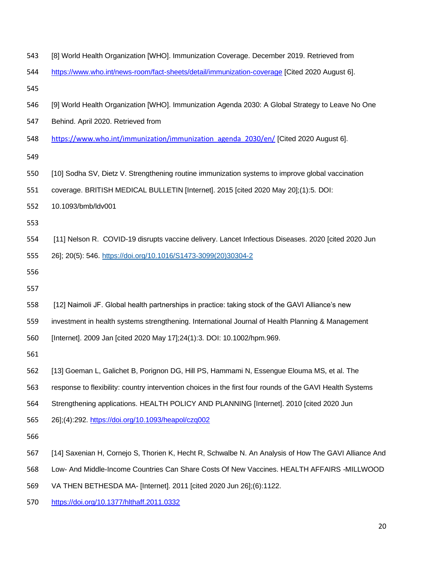| 543 | [8] World Health Organization [WHO]. Immunization Coverage. December 2019. Retrieved from                 |
|-----|-----------------------------------------------------------------------------------------------------------|
| 544 | https://www.who.int/news-room/fact-sheets/detail/immunization-coverage [Cited 2020 August 6].             |
| 545 |                                                                                                           |
| 546 | [9] World Health Organization [WHO]. Immunization Agenda 2030: A Global Strategy to Leave No One          |
| 547 | Behind. April 2020. Retrieved from                                                                        |
| 548 | https://www.who.int/immunization/immunization_agenda_2030/en/ [Cited 2020 August 6].                      |
| 549 |                                                                                                           |
| 550 | [10] Sodha SV, Dietz V. Strengthening routine immunization systems to improve global vaccination          |
| 551 | coverage. BRITISH MEDICAL BULLETIN [Internet]. 2015 [cited 2020 May 20];(1):5. DOI:                       |
| 552 | 10.1093/bmb/ldv001                                                                                        |
| 553 |                                                                                                           |
| 554 | [11] Nelson R. COVID-19 disrupts vaccine delivery. Lancet Infectious Diseases. 2020 [cited 2020 Jun       |
| 555 | 26]; 20(5): 546. https://doi.org/10.1016/S1473-3099(20)30304-2                                            |
| 556 |                                                                                                           |
| 557 |                                                                                                           |
| 558 | [12] Naimoli JF. Global health partnerships in practice: taking stock of the GAVI Alliance's new          |
| 559 | investment in health systems strengthening. International Journal of Health Planning & Management         |
| 560 | [Internet]. 2009 Jan [cited 2020 May 17];24(1):3. DOI: 10.1002/hpm.969.                                   |
| 561 |                                                                                                           |
| 562 | [13] Goeman L, Galichet B, Porignon DG, Hill PS, Hammami N, Essengue Elouma MS, et al. The                |
| 563 | response to flexibility: country intervention choices in the first four rounds of the GAVI Health Systems |
| 564 | Strengthening applications. HEALTH POLICY AND PLANNING [Internet]. 2010 [cited 2020 Jun                   |
| 565 | 26];(4):292. https://doi.org/10.1093/heapol/czq002                                                        |
| 566 |                                                                                                           |
| 567 | [14] Saxenian H, Cornejo S, Thorien K, Hecht R, Schwalbe N. An Analysis of How The GAVI Alliance And      |
| 568 | Low- And Middle-Income Countries Can Share Costs Of New Vaccines. HEALTH AFFAIRS -MILLWOOD                |
| 569 | VA THEN BETHESDA MA- [Internet]. 2011 [cited 2020 Jun 26];(6):1122.                                       |
|     |                                                                                                           |

<https://doi.org/10.1377/hlthaff.2011.0332>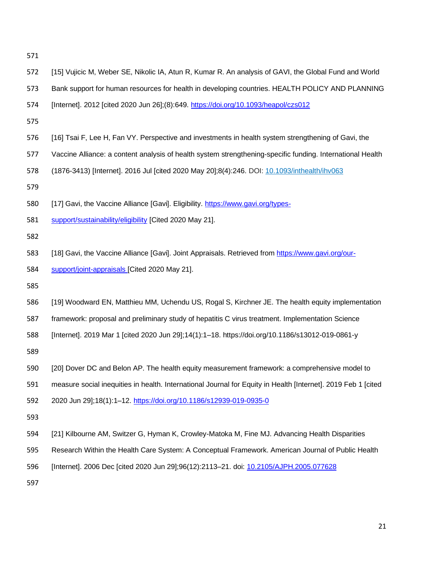| 572 | [15] Vujicic M, Weber SE, Nikolic IA, Atun R, Kumar R. An analysis of GAVI, the Global Fund and World         |
|-----|---------------------------------------------------------------------------------------------------------------|
| 573 | Bank support for human resources for health in developing countries. HEALTH POLICY AND PLANNING               |
| 574 | [Internet]. 2012 [cited 2020 Jun 26];(8):649. https://doi.org/10.1093/heapol/czs012                           |
| 575 |                                                                                                               |
| 576 | [16] Tsai F, Lee H, Fan VY. Perspective and investments in health system strengthening of Gavi, the           |
| 577 | Vaccine Alliance: a content analysis of health system strengthening-specific funding. International Health    |
| 578 | (1876-3413) [Internet]. 2016 Jul [cited 2020 May 20];8(4):246. DOI: 10.1093/inthealth/ihv063                  |
| 579 |                                                                                                               |
| 580 | [17] Gavi, the Vaccine Alliance [Gavi]. Eligibility. https://www.gavi.org/types-                              |
| 581 | support/sustainability/eligibility [Cited 2020 May 21].                                                       |
| 582 |                                                                                                               |
| 583 | [18] Gavi, the Vaccine Alliance [Gavi]. Joint Appraisals. Retrieved from https://www.gavi.org/our-            |
| 584 | support/joint-appraisals [Cited 2020 May 21].                                                                 |
| 585 |                                                                                                               |
| 586 | [19] Woodward EN, Matthieu MM, Uchendu US, Rogal S, Kirchner JE. The health equity implementation             |
| 587 | framework: proposal and preliminary study of hepatitis C virus treatment. Implementation Science              |
| 588 | [Internet]. 2019 Mar 1 [cited 2020 Jun 29];14(1):1-18. https://doi.org/10.1186/s13012-019-0861-y              |
| 589 |                                                                                                               |
| 590 | [20] Dover DC and Belon AP. The health equity measurement framework: a comprehensive model to                 |
| 591 | measure social inequities in health. International Journal for Equity in Health [Internet]. 2019 Feb 1 [cited |
| 592 | 2020 Jun 29];18(1):1-12. https://doi.org/10.1186/s12939-019-0935-0                                            |
| 593 |                                                                                                               |
| 594 | [21] Kilbourne AM, Switzer G, Hyman K, Crowley-Matoka M, Fine MJ. Advancing Health Disparities                |
| 595 | Research Within the Health Care System: A Conceptual Framework. American Journal of Public Health             |
| 596 | [Internet]. 2006 Dec [cited 2020 Jun 29];96(12):2113-21. doi: 10.2105/AJPH.2005.077628                        |
| 597 |                                                                                                               |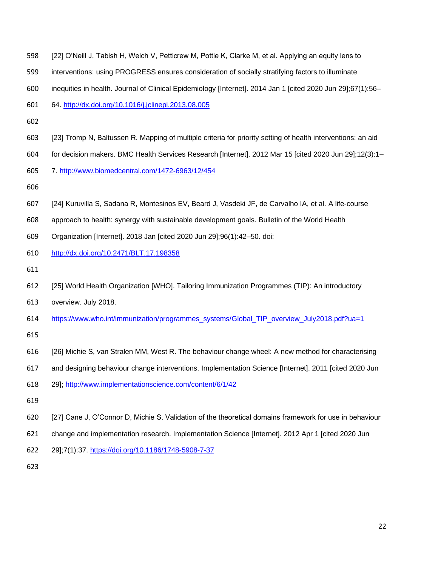| 600 | inequities in health. Journal of Clinical Epidemiology [Internet]. 2014 Jan 1 [cited 2020 Jun 29];67(1):56-  |
|-----|--------------------------------------------------------------------------------------------------------------|
| 601 | 64. http://dx.doi.org/10.1016/j.jclinepi.2013.08.005                                                         |
| 602 |                                                                                                              |
| 603 | [23] Tromp N, Baltussen R. Mapping of multiple criteria for priority setting of health interventions: an aid |
| 604 | for decision makers. BMC Health Services Research [Internet]. 2012 Mar 15 [cited 2020 Jun 29];12(3):1-       |
| 605 | 7. http://www.biomedcentral.com/1472-6963/12/454                                                             |
| 606 |                                                                                                              |
| 607 | [24] Kuruvilla S, Sadana R, Montesinos EV, Beard J, Vasdeki JF, de Carvalho IA, et al. A life-course         |
| 608 | approach to health: synergy with sustainable development goals. Bulletin of the World Health                 |
| 609 | Organization [Internet]. 2018 Jan [cited 2020 Jun 29];96(1):42-50. doi:                                      |
| 610 | http://dx.doi.org/10.2471/BLT.17.198358                                                                      |
| 611 |                                                                                                              |
| 612 | [25] World Health Organization [WHO]. Tailoring Immunization Programmes (TIP): An introductory               |
| 613 | overview. July 2018.                                                                                         |
| 614 | https://www.who.int/immunization/programmes_systems/Global_TIP_overview_July2018.pdf?ua=1                    |
| 615 |                                                                                                              |
| 616 | [26] Michie S, van Stralen MM, West R. The behaviour change wheel: A new method for characterising           |
| 617 | and designing behaviour change interventions. Implementation Science [Internet]. 2011 [cited 2020 Jun        |
| 618 | 29]; http://www.implementationscience.com/content/6/1/42                                                     |
| 619 |                                                                                                              |
| 620 | [27] Cane J, O'Connor D, Michie S. Validation of the theoretical domains framework for use in behaviour      |
| 621 | change and implementation research. Implementation Science [Internet]. 2012 Apr 1 [cited 2020 Jun            |
| 622 | 29];7(1):37. https://doi.org/10.1186/1748-5908-7-37                                                          |
| 623 |                                                                                                              |
|     |                                                                                                              |

[22] O'Neill J, Tabish H, Welch V, Petticrew M, Pottie K, Clarke M, et al. Applying an equity lens to

interventions: using PROGRESS ensures consideration of socially stratifying factors to illuminate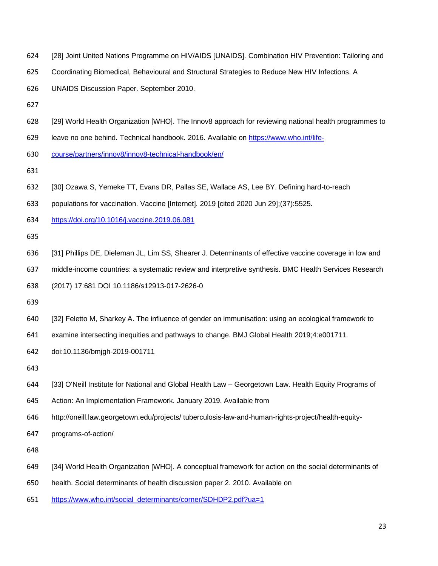- [28] Joint United Nations Programme on HIV/AIDS [UNAIDS]. Combination HIV Prevention: Tailoring and
- Coordinating Biomedical, Behavioural and Structural Strategies to Reduce New HIV Infections. A

UNAIDS Discussion Paper. September 2010.

- 
- [29] World Health Organization [WHO]. The Innov8 approach for reviewing national health programmes to
- leave no one behind. Technical handbook. 2016. Available on [https://www.who.int/life-](https://www.who.int/life-course/partners/innov8/innov8-technical-handbook/en/)
- [course/partners/innov8/innov8-technical-handbook/en/](https://www.who.int/life-course/partners/innov8/innov8-technical-handbook/en/)
- 
- [30] Ozawa S, Yemeke TT, Evans DR, Pallas SE, Wallace AS, Lee BY. Defining hard-to-reach
- populations for vaccination. Vaccine [Internet]. 2019 [cited 2020 Jun 29];(37):5525.
- <https://doi.org/10.1016/j.vaccine.2019.06.081>

- [31] Phillips DE, Dieleman JL, Lim SS, Shearer J. Determinants of effective vaccine coverage in low and
- middle-income countries: a systematic review and interpretive synthesis. BMC Health Services Research
- (2017) 17:681 DOI 10.1186/s12913-017-2626-0
- 
- [32] Feletto M, Sharkey A. The influence of gender on immunisation: using an ecological framework to
- examine intersecting inequities and pathways to change. BMJ Global Health 2019;4:e001711.
- doi:10.1136/bmjgh-2019-001711
- 
- [33] O'Neill Institute for National and Global Health Law Georgetown Law. Health Equity Programs of
- Action: An Implementation Framework. January 2019. Available from
- http://oneill.law.georgetown.edu/projects/ tuberculosis-law-and-human-rights-project/health-equity-
- programs-of-action/

- [34] World Health Organization [WHO]. A conceptual framework for action on the social determinants of
- health. Social determinants of health discussion paper 2. 2010. Available on
- [https://www.who.int/social\\_determinants/corner/SDHDP2.pdf?ua=1](https://www.who.int/social_determinants/corner/SDHDP2.pdf?ua=1)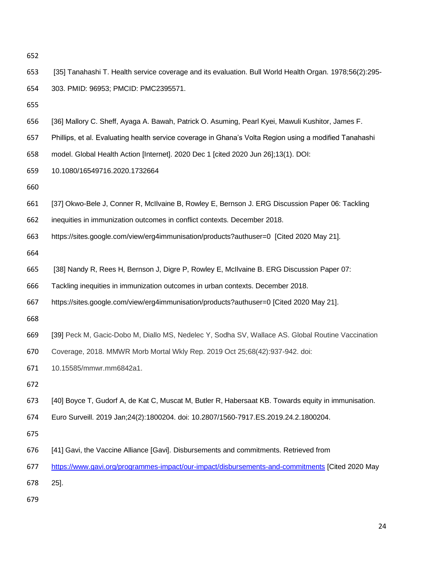[35] Tanahashi T. Health service coverage and its evaluation. Bull World Health Organ. 1978;56(2):295- 303. PMID: 96953; PMCID: PMC2395571.

- [36] Mallory C. Sheff, Ayaga A. Bawah, Patrick O. Asuming, Pearl Kyei, Mawuli Kushitor, James F.
- Phillips, et al. Evaluating health service coverage in Ghana's Volta Region using a modified Tanahashi
- model. Global Health Action [Internet]. 2020 Dec 1 [cited 2020 Jun 26];13(1). DOI:
- 10.1080/16549716.2020.1732664

- [37] Okwo-Bele J, Conner R, McIlvaine B, Rowley E, Bernson J. ERG Discussion Paper 06: Tackling
- inequities in immunization outcomes in conflict contexts. December 2018.
- <https://sites.google.com/view/erg4immunisation/products?authuser=0> [Cited 2020 May 21].

- [38] Nandy R, Rees H, Bernson J, Digre P, Rowley E, McIlvaine B. ERG Discussion Paper 07:
- Tackling inequities in immunization outcomes in urban contexts. December 2018.
- <https://sites.google.com/view/erg4immunisation/products?authuser=0> [Cited 2020 May 21].

- [39] Peck M, Gacic-Dobo M, Diallo MS, Nedelec Y, Sodha SV, Wallace AS. Global Routine Vaccination
- Coverage, 2018. MMWR Morb Mortal Wkly Rep. 2019 Oct 25;68(42):937-942. doi:
- 10.15585/mmwr.mm6842a1.

- [40] Boyce T, Gudorf A, de Kat C, Muscat M, Butler R, Habersaat KB. Towards equity in immunisation.
- Euro Surveill. 2019 Jan;24(2):1800204. doi: 10.2807/1560-7917.ES.2019.24.2.1800204.

- [41] Gavi, the Vaccine Alliance [Gavi]. Disbursements and commitments. Retrieved from
- <https://www.gavi.org/programmes-impact/our-impact/disbursements-and-commitments> [Cited 2020 May

25].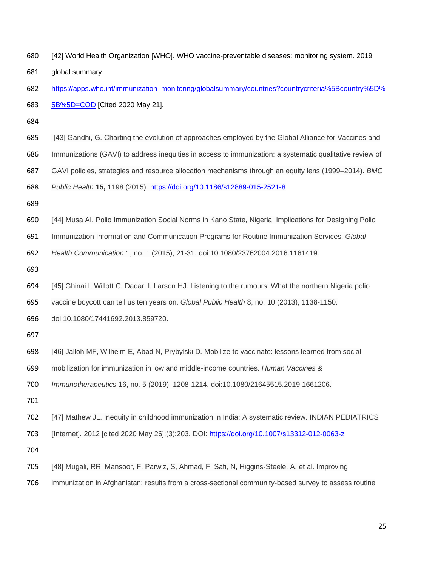| 680 | [42] World Health Organization [WHO]. WHO vaccine-preventable diseases: monitoring system. 2019          |
|-----|----------------------------------------------------------------------------------------------------------|
| 681 | global summary.                                                                                          |
| 682 | https://apps.who.int/immunization_monitoring/globalsummary/countries?countrycriteria%5Bcountry%5D%       |
| 683 | 5B%5D=COD [Cited 2020 May 21].                                                                           |
| 684 |                                                                                                          |
| 685 | [43] Gandhi, G. Charting the evolution of approaches employed by the Global Alliance for Vaccines and    |
| 686 | Immunizations (GAVI) to address inequities in access to immunization: a systematic qualitative review of |
| 687 | GAVI policies, strategies and resource allocation mechanisms through an equity lens (1999–2014). BMC     |
| 688 | Public Health 15, 1198 (2015). https://doi.org/10.1186/s12889-015-2521-8                                 |
| 689 |                                                                                                          |
| 690 | [44] Musa AI. Polio Immunization Social Norms in Kano State, Nigeria: Implications for Designing Polio   |
| 691 | Immunization Information and Communication Programs for Routine Immunization Services. Global            |
| 692 | Health Communication 1, no. 1 (2015), 21-31. doi:10.1080/23762004.2016.1161419.                          |
| 693 |                                                                                                          |
| 694 | [45] Ghinai I, Willott C, Dadari I, Larson HJ. Listening to the rumours: What the northern Nigeria polio |
| 695 | vaccine boycott can tell us ten years on. Global Public Health 8, no. 10 (2013), 1138-1150.              |
| 696 | doi:10.1080/17441692.2013.859720.                                                                        |
| 697 |                                                                                                          |
| 698 | [46] Jalloh MF, Wilhelm E, Abad N, Prybylski D. Mobilize to vaccinate: lessons learned from social       |
| 699 | mobilization for immunization in low and middle-income countries. Human Vaccines &                       |
| 700 | Immunotherapeutics 16, no. 5 (2019), 1208-1214. doi:10.1080/21645515.2019.1661206.                       |
| 701 |                                                                                                          |
| 702 | [47] Mathew JL. Inequity in childhood immunization in India: A systematic review. INDIAN PEDIATRICS      |
| 703 | [Internet]. 2012 [cited 2020 May 26];(3):203. DOI: https://doi.org/10.1007/s13312-012-0063-z             |
| 704 |                                                                                                          |
| 705 | [48] Mugali, RR, Mansoor, F, Parwiz, S, Ahmad, F, Safi, N, Higgins-Steele, A, et al. Improving           |
|     |                                                                                                          |

immunization in Afghanistan: results from a cross-sectional community-based survey to assess routine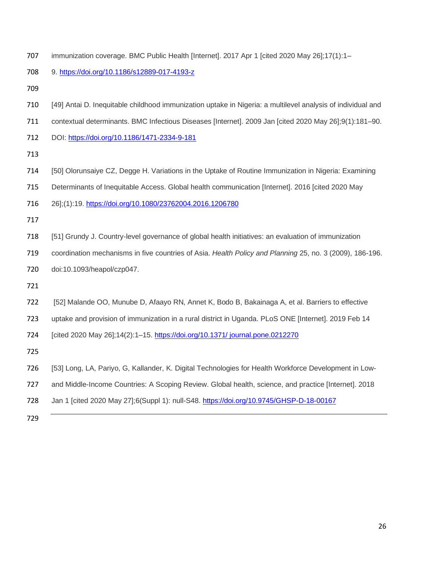| 707 | immunization coverage. BMC Public Health [Internet]. 2017 Apr 1 [cited 2020 May 26];17(1):1-                |
|-----|-------------------------------------------------------------------------------------------------------------|
| 708 | 9. https://doi.org/10.1186/s12889-017-4193-z                                                                |
| 709 |                                                                                                             |
| 710 | [49] Antai D. Inequitable childhood immunization uptake in Nigeria: a multilevel analysis of individual and |
| 711 | contextual determinants. BMC Infectious Diseases [Internet]. 2009 Jan [cited 2020 May 26];9(1):181-90.      |
| 712 | DOI: https://doi.org/10.1186/1471-2334-9-181                                                                |
| 713 |                                                                                                             |
| 714 | [50] Olorunsaiye CZ, Degge H. Variations in the Uptake of Routine Immunization in Nigeria: Examining        |
| 715 | Determinants of Inequitable Access. Global health communication [Internet]. 2016 [cited 2020 May            |
| 716 | 26];(1):19. https://doi.org/10.1080/23762004.2016.1206780                                                   |
| 717 |                                                                                                             |
| 718 | [51] Grundy J. Country-level governance of global health initiatives: an evaluation of immunization         |
| 719 | coordination mechanisms in five countries of Asia. Health Policy and Planning 25, no. 3 (2009), 186-196.    |
| 720 | doi:10.1093/heapol/czp047.                                                                                  |
| 721 |                                                                                                             |
| 722 | [52] Malande OO, Munube D, Afaayo RN, Annet K, Bodo B, Bakainaga A, et al. Barriers to effective            |
| 723 | uptake and provision of immunization in a rural district in Uganda. PLoS ONE [Internet]. 2019 Feb 14        |
| 724 | [cited 2020 May 26];14(2):1-15. https://doi.org/10.1371/ journal.pone.0212270                               |
| 725 |                                                                                                             |
| 726 | [53] Long, LA, Pariyo, G, Kallander, K. Digital Technologies for Health Workforce Development in Low-       |
| 727 | and Middle-Income Countries: A Scoping Review. Global health, science, and practice [Internet]. 2018        |
| 728 | Jan 1 [cited 2020 May 27];6(Suppl 1): null-S48. https://doi.org/10.9745/GHSP-D-18-00167                     |
| 729 |                                                                                                             |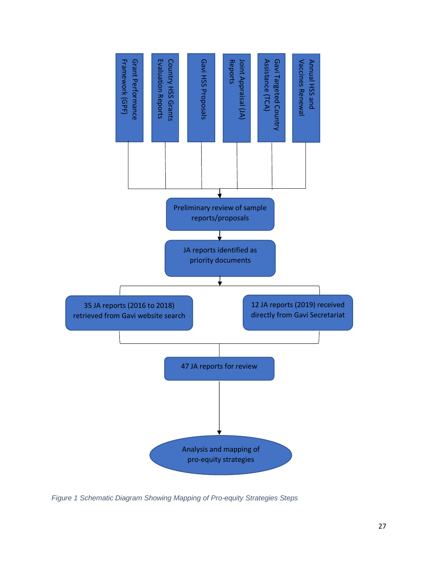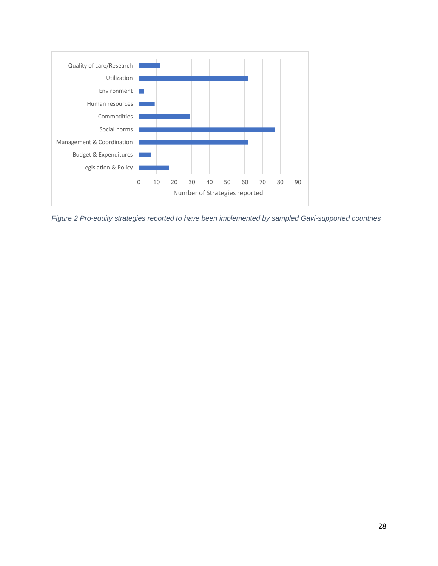

*Figure 2 Pro-equity strategies reported to have been implemented by sampled Gavi-supported countries*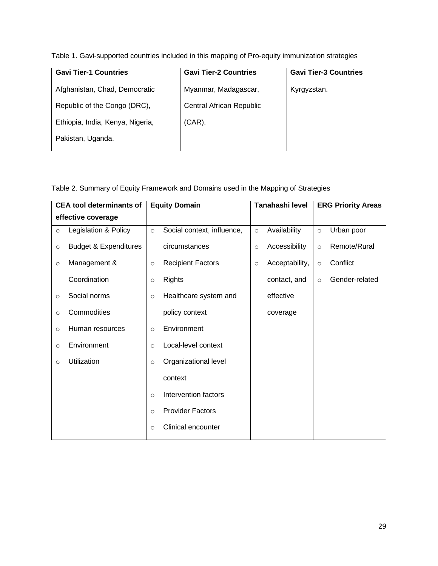Table 1. Gavi-supported countries included in this mapping of Pro-equity immunization strategies

| <b>Gavi Tier-1 Countries</b>     | <b>Gavi Tier-2 Countries</b> | <b>Gavi Tier-3 Countries</b> |
|----------------------------------|------------------------------|------------------------------|
| Afghanistan, Chad, Democratic    | Myanmar, Madagascar,         | Kyrgyzstan.                  |
| Republic of the Congo (DRC),     | Central African Republic     |                              |
| Ethiopia, India, Kenya, Nigeria, | $(CAR)$ .                    |                              |
| Pakistan, Uganda.                |                              |                              |

Table 2. Summary of Equity Framework and Domains used in the Mapping of Strategies

|         | <b>CEA tool determinants of</b>  |         | <b>Equity Domain</b>       |         | Tanahashi level |         | <b>ERG Priority Areas</b> |
|---------|----------------------------------|---------|----------------------------|---------|-----------------|---------|---------------------------|
|         | effective coverage               |         |                            |         |                 |         |                           |
| $\circ$ | Legislation & Policy             | $\circ$ | Social context, influence, | $\circ$ | Availability    | $\circ$ | Urban poor                |
| $\circ$ | <b>Budget &amp; Expenditures</b> |         | circumstances              | $\circ$ | Accessibility   | $\circ$ | Remote/Rural              |
| $\circ$ | Management &                     | $\circ$ | <b>Recipient Factors</b>   | $\circ$ | Acceptability,  | $\circ$ | Conflict                  |
|         | Coordination                     | $\circ$ | <b>Rights</b>              |         | contact, and    | $\circ$ | Gender-related            |
| $\circ$ | Social norms                     | $\circ$ | Healthcare system and      |         | effective       |         |                           |
| $\circ$ | Commodities                      |         | policy context             |         | coverage        |         |                           |
| $\circ$ | Human resources                  | $\circ$ | Environment                |         |                 |         |                           |
| $\circ$ | Environment                      | $\circ$ | Local-level context        |         |                 |         |                           |
| $\circ$ | Utilization                      | $\circ$ | Organizational level       |         |                 |         |                           |
|         |                                  |         | context                    |         |                 |         |                           |
|         |                                  | $\circ$ | Intervention factors       |         |                 |         |                           |
|         |                                  | $\circ$ | <b>Provider Factors</b>    |         |                 |         |                           |
|         |                                  | $\circ$ | Clinical encounter         |         |                 |         |                           |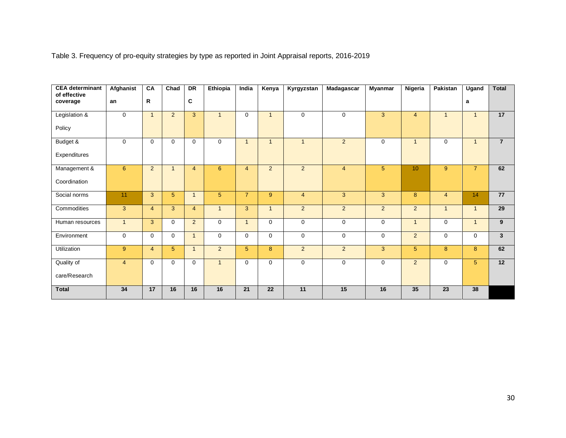Table 3. Frequency of pro-equity strategies by type as reported in Joint Appraisal reports, 2016-2019

| <b>CEA determinant</b><br>of effective | Afghanist       | CA             | $\overline{\text{Chad}}$ | <b>DR</b>      | Ethiopia       | India          | Kenya          | Kyrgyzstan     | <b>Madagascar</b> | <b>Myanmar</b> | Nigeria        | Pakistan       | Ugand          | <b>Total</b>   |
|----------------------------------------|-----------------|----------------|--------------------------|----------------|----------------|----------------|----------------|----------------|-------------------|----------------|----------------|----------------|----------------|----------------|
| coverage                               | an              | R              |                          | C              |                |                |                |                |                   |                |                |                | a              |                |
| Legislation &                          | $\Omega$        | $\overline{1}$ | 2                        | $\overline{3}$ | $\overline{1}$ | $\Omega$       | $\mathbf{1}$   | $\mathbf 0$    | $\Omega$          | 3              | $\overline{4}$ | $\mathbf{1}$   | $\mathbf{1}$   | 17             |
| Policy                                 |                 |                |                          |                |                |                |                |                |                   |                |                |                |                |                |
| Budget &                               | $\mathbf 0$     | $\mathbf 0$    | $\Omega$                 | 0              | $\mathbf 0$    | 1              | $\mathbf{1}$   | $\mathbf{1}$   | 2                 | $\mathbf 0$    | $\overline{1}$ | $\mathbf 0$    | $\mathbf{1}$   | $\overline{7}$ |
| Expenditures                           |                 |                |                          |                |                |                |                |                |                   |                |                |                |                |                |
| Management &                           | $6\overline{6}$ | $2^{\circ}$    | $\mathbf{1}$             | $\overline{4}$ | $6^{\circ}$    | $\overline{4}$ | $\overline{2}$ | $\overline{2}$ | $\overline{4}$    | $5\phantom{.}$ | 10             | 9              | $\overline{7}$ | 62             |
| Coordination                           |                 |                |                          |                |                |                |                |                |                   |                |                |                |                |                |
| Social norms                           | 11              | 3              | 5 <sup>5</sup>           | $\overline{1}$ | 5              | $\overline{7}$ | 9 <sup>°</sup> | $\overline{4}$ | 3                 | 3              | 8              | $\overline{4}$ | 14             | 77             |
| Commodities                            | $\mathbf{3}$    | $\overline{4}$ | 3                        | $\overline{4}$ | $\mathbf{1}$   | 3              | $\mathbf{1}$   | $\overline{2}$ | $\overline{2}$    | $\overline{2}$ | $\overline{2}$ | $\mathbf{1}$   | $\mathbf{1}$   | 29             |
| Human resources                        | $\overline{1}$  | 3              | $\mathbf 0$              | $\overline{2}$ | $\mathbf 0$    | $\overline{1}$ | $\mathbf 0$    | $\mathbf 0$    | $\mathbf 0$       | $\mathbf 0$    | $\overline{1}$ | $\mathbf 0$    | $\mathbf{1}$   | 9              |
| Environment                            | $\Omega$        | $\mathbf 0$    | $\Omega$                 | $\mathbf{1}$   | $\Omega$       | $\Omega$       | $\mathbf 0$    | $\mathbf 0$    | $\Omega$          | $\mathbf 0$    | $\overline{2}$ | $\mathbf 0$    | 0              | $\mathbf{3}$   |
| Utilization                            | 9               | $\overline{4}$ | 5                        | $\mathbf{1}$   | $2^{\circ}$    | $\sqrt{5}$     | 8              | $\overline{2}$ | 2                 | 3              | 5              | 8              | 8              | 62             |
| Quality of                             | $\overline{4}$  | $\mathbf{0}$   | $\Omega$                 | $\Omega$       | $\overline{1}$ | $\Omega$       | $\Omega$       | $\mathbf 0$    | $\Omega$          | $\mathbf 0$    | $\overline{2}$ | $\Omega$       | 5 <sup>5</sup> | 12             |
| care/Research                          |                 |                |                          |                |                |                |                |                |                   |                |                |                |                |                |
| <b>Total</b>                           | 34              | 17             | 16                       | 16             | 16             | 21             | 22             | 11             | 15                | 16             | 35             | 23             | 38             |                |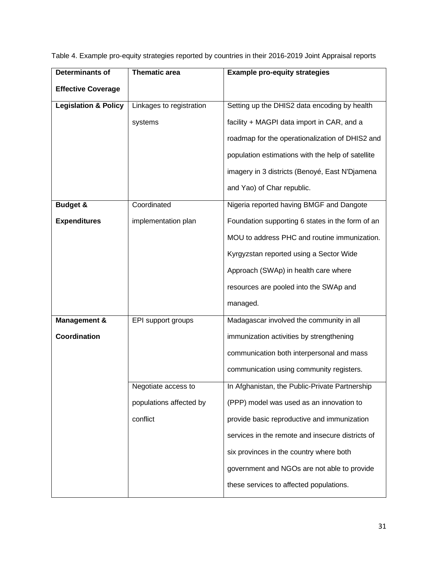| $\blacksquare$ | The concentration of the Theory                                                                         | . Euskalah kasa sahijin singlesise |  |
|----------------|---------------------------------------------------------------------------------------------------------|------------------------------------|--|
|                | Table 4. Example pro-equity strategies reported by countries in their 2016-2019 Joint Appraisal reports |                                    |  |
|                |                                                                                                         |                                    |  |

| <b>Determinants of</b>          | <b>Thematic area</b>     | <b>Example pro-equity strategies</b>              |
|---------------------------------|--------------------------|---------------------------------------------------|
| <b>Effective Coverage</b>       |                          |                                                   |
| <b>Legislation &amp; Policy</b> | Linkages to registration | Setting up the DHIS2 data encoding by health      |
|                                 | systems                  | facility + MAGPI data import in CAR, and a        |
|                                 |                          | roadmap for the operationalization of DHIS2 and   |
|                                 |                          | population estimations with the help of satellite |
|                                 |                          | imagery in 3 districts (Benoyé, East N'Djamena    |
|                                 |                          | and Yao) of Char republic.                        |
| <b>Budget &amp;</b>             | Coordinated              | Nigeria reported having BMGF and Dangote          |
| <b>Expenditures</b>             | implementation plan      | Foundation supporting 6 states in the form of an  |
|                                 |                          | MOU to address PHC and routine immunization.      |
|                                 |                          | Kyrgyzstan reported using a Sector Wide           |
|                                 |                          | Approach (SWAp) in health care where              |
|                                 |                          | resources are pooled into the SWAp and            |
|                                 |                          | managed.                                          |
| <b>Management &amp;</b>         | EPI support groups       | Madagascar involved the community in all          |
| Coordination                    |                          | immunization activities by strengthening          |
|                                 |                          | communication both interpersonal and mass         |
|                                 |                          | communication using community registers.          |
|                                 | Negotiate access to      | In Afghanistan, the Public-Private Partnership    |
|                                 | populations affected by  | (PPP) model was used as an innovation to          |
|                                 | conflict                 | provide basic reproductive and immunization       |
|                                 |                          | services in the remote and insecure districts of  |
|                                 |                          | six provinces in the country where both           |
|                                 |                          | government and NGOs are not able to provide       |
|                                 |                          | these services to affected populations.           |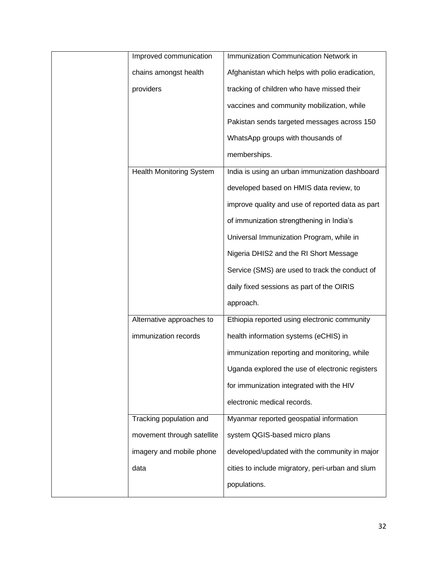| Improved communication          | Immunization Communication Network in            |
|---------------------------------|--------------------------------------------------|
| chains amongst health           | Afghanistan which helps with polio eradication,  |
| providers                       | tracking of children who have missed their       |
|                                 | vaccines and community mobilization, while       |
|                                 | Pakistan sends targeted messages across 150      |
|                                 | WhatsApp groups with thousands of                |
|                                 | memberships.                                     |
| <b>Health Monitoring System</b> | India is using an urban immunization dashboard   |
|                                 | developed based on HMIS data review, to          |
|                                 | improve quality and use of reported data as part |
|                                 | of immunization strengthening in India's         |
|                                 | Universal Immunization Program, while in         |
|                                 | Nigeria DHIS2 and the RI Short Message           |
|                                 | Service (SMS) are used to track the conduct of   |
|                                 | daily fixed sessions as part of the OIRIS        |
|                                 | approach.                                        |
| Alternative approaches to       | Ethiopia reported using electronic community     |
| immunization records            | health information systems (eCHIS) in            |
|                                 | immunization reporting and monitoring, while     |
|                                 | Uganda explored the use of electronic registers  |
|                                 | for immunization integrated with the HIV         |
|                                 | electronic medical records.                      |
| Tracking population and         | Myanmar reported geospatial information          |
| movement through satellite      | system QGIS-based micro plans                    |
| imagery and mobile phone        | developed/updated with the community in major    |
| data                            | cities to include migratory, peri-urban and slum |
|                                 | populations.                                     |
|                                 |                                                  |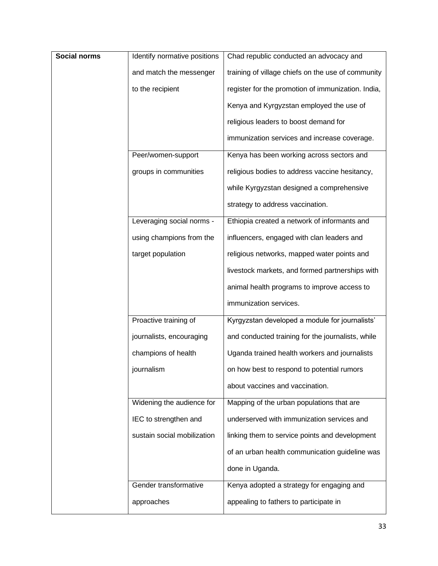| Social norms | Identify normative positions | Chad republic conducted an advocacy and            |  |  |  |  |  |
|--------------|------------------------------|----------------------------------------------------|--|--|--|--|--|
|              | and match the messenger      | training of village chiefs on the use of community |  |  |  |  |  |
|              | to the recipient             | register for the promotion of immunization. India, |  |  |  |  |  |
|              |                              | Kenya and Kyrgyzstan employed the use of           |  |  |  |  |  |
|              |                              | religious leaders to boost demand for              |  |  |  |  |  |
|              |                              | immunization services and increase coverage.       |  |  |  |  |  |
|              | Peer/women-support           | Kenya has been working across sectors and          |  |  |  |  |  |
|              | groups in communities        | religious bodies to address vaccine hesitancy,     |  |  |  |  |  |
|              |                              | while Kyrgyzstan designed a comprehensive          |  |  |  |  |  |
|              |                              | strategy to address vaccination.                   |  |  |  |  |  |
|              | Leveraging social norms -    | Ethiopia created a network of informants and       |  |  |  |  |  |
|              | using champions from the     | influencers, engaged with clan leaders and         |  |  |  |  |  |
|              | target population            | religious networks, mapped water points and        |  |  |  |  |  |
|              |                              | livestock markets, and formed partnerships with    |  |  |  |  |  |
|              |                              | animal health programs to improve access to        |  |  |  |  |  |
|              |                              | immunization services.                             |  |  |  |  |  |
|              | Proactive training of        | Kyrgyzstan developed a module for journalists'     |  |  |  |  |  |
|              | journalists, encouraging     | and conducted training for the journalists, while  |  |  |  |  |  |
|              | champions of health          | Uganda trained health workers and journalists      |  |  |  |  |  |
|              | journalism                   | on how best to respond to potential rumors         |  |  |  |  |  |
|              |                              | about vaccines and vaccination.                    |  |  |  |  |  |
|              | Widening the audience for    | Mapping of the urban populations that are          |  |  |  |  |  |
|              | IEC to strengthen and        | underserved with immunization services and         |  |  |  |  |  |
|              | sustain social mobilization  | linking them to service points and development     |  |  |  |  |  |
|              |                              | of an urban health communication guideline was     |  |  |  |  |  |
|              |                              | done in Uganda.                                    |  |  |  |  |  |
|              | Gender transformative        | Kenya adopted a strategy for engaging and          |  |  |  |  |  |
|              | approaches                   | appealing to fathers to participate in             |  |  |  |  |  |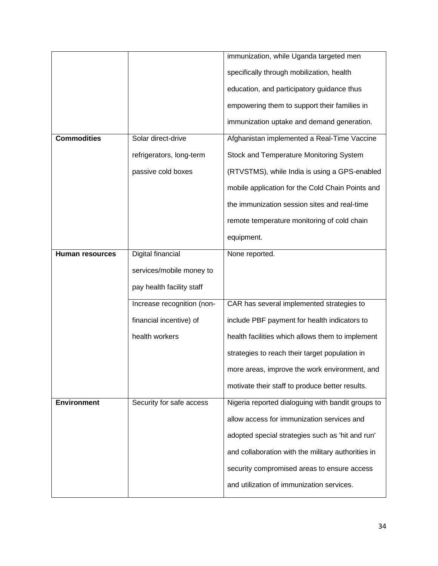|                        |                            | immunization, while Uganda targeted men            |  |  |  |  |
|------------------------|----------------------------|----------------------------------------------------|--|--|--|--|
|                        |                            | specifically through mobilization, health          |  |  |  |  |
|                        |                            | education, and participatory guidance thus         |  |  |  |  |
|                        |                            | empowering them to support their families in       |  |  |  |  |
|                        |                            | immunization uptake and demand generation.         |  |  |  |  |
| <b>Commodities</b>     | Solar direct-drive         | Afghanistan implemented a Real-Time Vaccine        |  |  |  |  |
|                        | refrigerators, long-term   | Stock and Temperature Monitoring System            |  |  |  |  |
|                        | passive cold boxes         | (RTVSTMS), while India is using a GPS-enabled      |  |  |  |  |
|                        |                            | mobile application for the Cold Chain Points and   |  |  |  |  |
|                        |                            | the immunization session sites and real-time       |  |  |  |  |
|                        |                            | remote temperature monitoring of cold chain        |  |  |  |  |
|                        |                            | equipment.                                         |  |  |  |  |
| <b>Human resources</b> | Digital financial          | None reported.                                     |  |  |  |  |
|                        | services/mobile money to   |                                                    |  |  |  |  |
|                        | pay health facility staff  |                                                    |  |  |  |  |
|                        | Increase recognition (non- | CAR has several implemented strategies to          |  |  |  |  |
|                        | financial incentive) of    | include PBF payment for health indicators to       |  |  |  |  |
|                        | health workers             | health facilities which allows them to implement   |  |  |  |  |
|                        |                            | strategies to reach their target population in     |  |  |  |  |
|                        |                            | more areas, improve the work environment, and      |  |  |  |  |
|                        |                            | motivate their staff to produce better results.    |  |  |  |  |
| <b>Environment</b>     | Security for safe access   | Nigeria reported dialoguing with bandit groups to  |  |  |  |  |
|                        |                            | allow access for immunization services and         |  |  |  |  |
|                        |                            | adopted special strategies such as 'hit and run'   |  |  |  |  |
|                        |                            | and collaboration with the military authorities in |  |  |  |  |
|                        |                            | security compromised areas to ensure access        |  |  |  |  |
|                        |                            | and utilization of immunization services.          |  |  |  |  |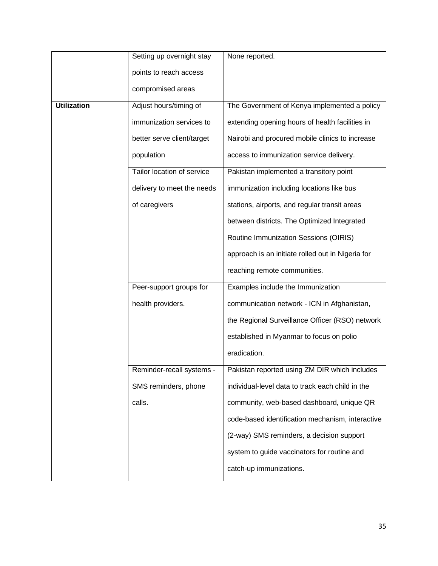|                    | Setting up overnight stay  | None reported.                                    |  |  |  |  |  |
|--------------------|----------------------------|---------------------------------------------------|--|--|--|--|--|
|                    | points to reach access     |                                                   |  |  |  |  |  |
|                    | compromised areas          |                                                   |  |  |  |  |  |
|                    |                            |                                                   |  |  |  |  |  |
| <b>Utilization</b> | Adjust hours/timing of     | The Government of Kenya implemented a policy      |  |  |  |  |  |
|                    | immunization services to   | extending opening hours of health facilities in   |  |  |  |  |  |
|                    | better serve client/target | Nairobi and procured mobile clinics to increase   |  |  |  |  |  |
|                    | population                 | access to immunization service delivery.          |  |  |  |  |  |
|                    | Tailor location of service | Pakistan implemented a transitory point           |  |  |  |  |  |
|                    | delivery to meet the needs | immunization including locations like bus         |  |  |  |  |  |
|                    | of caregivers              | stations, airports, and regular transit areas     |  |  |  |  |  |
|                    |                            | between districts. The Optimized Integrated       |  |  |  |  |  |
|                    |                            | Routine Immunization Sessions (OIRIS)             |  |  |  |  |  |
|                    |                            | approach is an initiate rolled out in Nigeria for |  |  |  |  |  |
|                    |                            | reaching remote communities.                      |  |  |  |  |  |
|                    | Peer-support groups for    | Examples include the Immunization                 |  |  |  |  |  |
|                    | health providers.          | communication network - ICN in Afghanistan,       |  |  |  |  |  |
|                    |                            | the Regional Surveillance Officer (RSO) network   |  |  |  |  |  |
|                    |                            | established in Myanmar to focus on polio          |  |  |  |  |  |
|                    |                            | eradication.                                      |  |  |  |  |  |
|                    | Reminder-recall systems -  | Pakistan reported using ZM DIR which includes     |  |  |  |  |  |
|                    | SMS reminders, phone       | individual-level data to track each child in the  |  |  |  |  |  |
|                    | calls.                     | community, web-based dashboard, unique QR         |  |  |  |  |  |
|                    |                            | code-based identification mechanism, interactive  |  |  |  |  |  |
|                    |                            | (2-way) SMS reminders, a decision support         |  |  |  |  |  |
|                    |                            | system to guide vaccinators for routine and       |  |  |  |  |  |
|                    |                            | catch-up immunizations.                           |  |  |  |  |  |